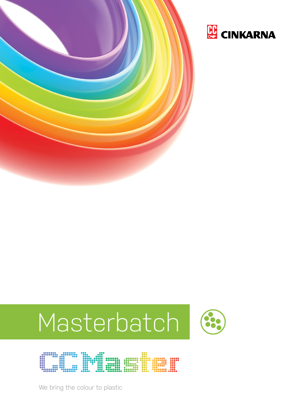









We bring the colour to plastic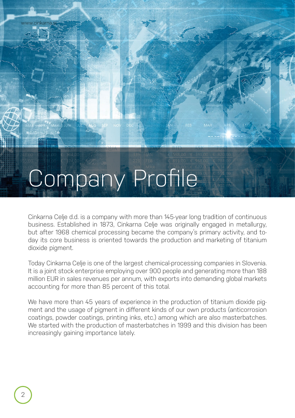# Company Profile

Cinkarna Celje d.d. is a company with more than 145-year long tradition of continuous business. Established in 1873, Cinkarna Celje was originally engaged in metallurgy, but after 1968 chemical processing became the company's primary activity, and today its core business is oriented towards the production and marketing of titanium dioxide pigment.

Today Cinkarna Celje is one of the largest chemical-processing companies in Slovenia. It is a joint stock enterprise employing over 900 people and generating more than 188 million EUR in sales revenues per annum, with exports into demanding global markets accounting for more than 85 percent of this total.

We have more than 45 years of experience in the production of titanium dioxide pigment and the usage of pigment in different kinds of our own products (anticorrosion coatings, powder coatings, printing inks, etc.) among which are also masterbatches. We started with the production of masterbatches in 1999 and this division has been increasingly gaining importance lately.

www.cinkarna.

ן<br>אוטון

JULY AUG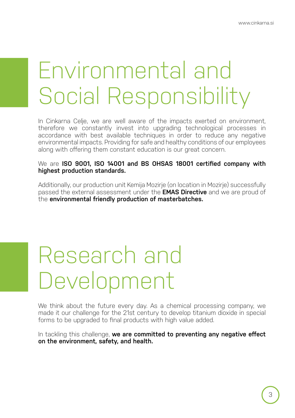## Environmental and Social Responsibility

In Cinkarna Celje, we are well aware of the impacts exerted on environment, therefore we constantly invest into upgrading technological processes in accordance with best available techniques in order to reduce any negative environmental impacts. Providing for safe and healthy conditions of our employees along with offering them constant education is our great concern.

### We are **ISO 9001, ISO 14001 and BS OHSAS 18001 certified company with highest production standards.**

Additionally, our production unit Kemija Mozirje (on location in Mozirje) successfully passed the external assessment under the **EMAS Directive** and we are proud of the **environmental friendly production of masterbatches.**

## Research and Development

We think about the future every day. As a chemical processing company, we made it our challenge for the 21st century to develop titanium dioxide in special forms to be upgraded to final products with high value added.

In tackling this challenge, **we are committed to preventing any negative effect on the environment, safety, and health.**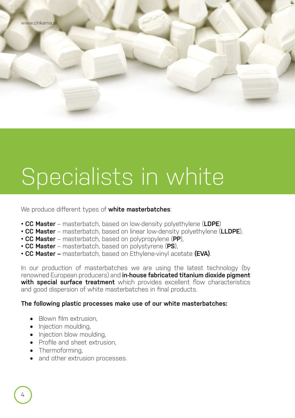## Specialists in white

We produce different types of **white masterbatches**:

- **CC Master** masterbatch, based on low-density polyethylene (**LDPE**)
- **CC Master** masterbatch, based on linear low-density polyethylene (**LLDPE**),
- **CC Master** masterbatch, based on polypropylene (**PP**),
- **CC Master** masterbatch, based on polystyrene (**PS**),
- **CC Master** masterbatch, based on Ethylene-vinyl acetate **(EVA)**.

In our production of masterbatches we are using the latest technology (by renowned European producers) and **in-house fabricated titanium dioxide pigment with special surface treatment** which provides excellent flow characteristics and good dispersion of white masterbatches in final products.

### **The following plastic processes make use of our white masterbatches:**

- Blown film extrusion,
- Injection moulding,
- Injection blow moulding,
- Profile and sheet extrusion,
- Thermoforming,
- and other extrusion processes.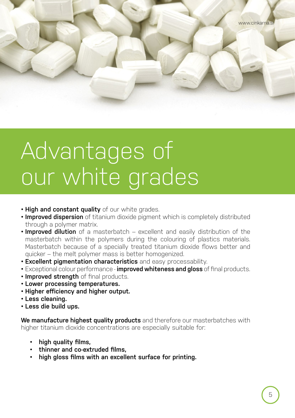## Advantages of our white grades

- **High and constant quality** of our white grades.
- **Improved dispersion** of titanium dioxide pigment which is completely distributed through a polymer matrix.
- **Improved dilution** of a masterbatch excellent and easily distribution of the masterbatch within the polymers during the colouring of plastics materials. Masterbatch because of a specially treated titanium dioxide flows better and quicker – the melt polymer mass is better homogenized.
- **Excellent pigmentation characteristics** and easy processability.
- Exceptional colour performance **improved whiteness and gloss** of final products.
- **Improved strength** of final products.
- **Lower processing temperatures.**
- **Higher efficiency and higher output.**
- **Less cleaning.**
- **Less die build ups.**

**We manufacture highest quality products** and therefore our masterbatches with higher titanium dioxide concentrations are especially suitable for:

- **high quality films,**
- **thinner and co-extruded films,**
- **high gloss films with an excellent surface for printing.**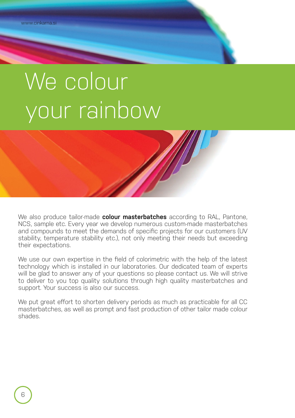## We colour your rainbow



We also produce tailor-made **colour masterbatches** according to RAL, Pantone, NCS, sample etc. Every year we develop numerous custom-made masterbatches and compounds to meet the demands of specific projects for our customers (UV stability, temperature stability etc.), not only meeting their needs but exceeding their expectations.

We use our own expertise in the field of colorimetric with the help of the latest technology which is installed in our laboratories. Our dedicated team of experts will be glad to answer any of your questions so please contact us. We will strive to deliver to you top quality solutions through high quality masterbatches and support. Your success is also our success.

We put great effort to shorten delivery periods as much as practicable for all CC masterbatches, as well as prompt and fast production of other tailor made colour shades.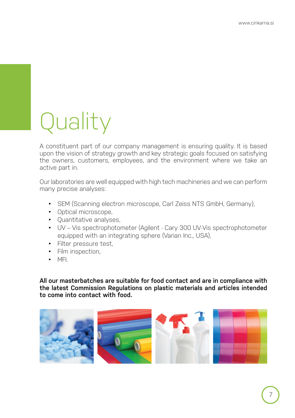## Quality

A constituent part of our company management is ensuring quality. It is based upon the vision of strategy growth and key strategic goals focused on satisfying the owners, customers, employees, and the environment where we take an active part in.

Our laboratories are well equipped with high tech machineries and we can perform many precise analyses:

- SEM (Scanning electron microscope, Carl Zeiss NTS GmbH, Germany),
- Optical microscope,
- Quantitative analyses,
- UV Vis spectrophotometer (Agilent Cary 300 UV-Vis spectrophotometer equipped with an integrating sphere (Varian Inc., USA),
- Filter pressure test,
- Film inspection,
- MFI.

**All our masterbatches are suitable for food contact and are in compliance with the latest Commission Regulations on plastic materials and articles intended to come into contact with food.**